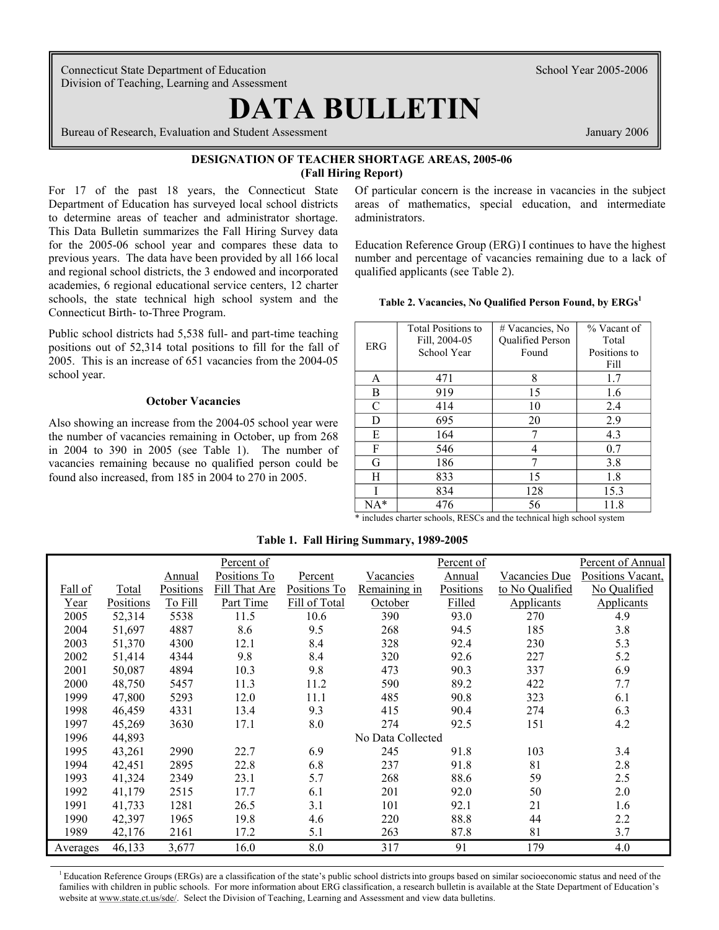Connecticut State Department of Education School Year 2005-2006 Division of Teaching, Learning and Assessment

# **DATA BULLETIN**

**Bureau of Research, Evaluation and Student Assessment** January 2006 **January 2006** 

# **DESIGNATION OF TEACHER SHORTAGE AREAS, 2005-06 (Fall Hiring Report)**

to determine areas of teacher and administrator shortage. administrators. This Data Bulletin summarizes the Fall Hiring Survey data and regional school districts, the 3 endowed and incorporated qualified applicants (see Table 2). academies, 6 regional educational service centers, 12 charter schools, the state technical high school system and the Connecticut Birth- to-Three Program.

Public school districts had 5,538 full- and part-time teaching positions out of 52,314 total positions to fill for the fall of 2005. This is an increase of 651 vacancies from the 2004-05 school year.

#### **October Vacancies**

Also showing an increase from the 2004-05 school year were the number of vacancies remaining in October, up from 268 in 2004 to 390 in 2005 (see Table 1). The number of vacancies remaining because no qualified person could be found also increased, from 185 in 2004 to 270 in 2005.

For 17 of the past 18 years, the Connecticut State Of particular concern is the increase in vacancies in the subject Department of Education has surveyed local school districts areas of mathematics, special education, and intermediate

for the 2005-06 school year and compares these data to Education Reference Group (ERG) I continues to have the highest previous years. The data have been provided by all 166 local number and percentage of vacancies remaining due to a lack of

| Table 2. Vacancies, No Qualified Person Found, by ERGs' |
|---------------------------------------------------------|
|---------------------------------------------------------|

| ERG | <b>Total Positions to</b><br>Fill, 2004-05<br>School Year | # Vacancies, No<br>Qualified Person<br>Found | % Vacant of<br>Total<br>Positions to<br>Fill |
|-----|-----------------------------------------------------------|----------------------------------------------|----------------------------------------------|
| A   | 471                                                       | 8                                            | 1.7                                          |
| B   | 919                                                       | 15                                           | 1.6                                          |
| C   | 414                                                       | 10                                           | 2.4                                          |
| D   | 695                                                       | 20                                           | 2.9                                          |
| E   | 164                                                       |                                              | 4.3                                          |
| F   | 546                                                       | 4                                            | 0.7                                          |
| G   | 186                                                       | 7                                            | 3.8                                          |
| H   | 833                                                       | 15                                           | 1.8                                          |
|     | 834                                                       | 128                                          | 15.3                                         |
| NA* | 476                                                       | 56                                           | 11.8                                         |

\* includes charter schools, RESCs and the technical high school system

|          |           |           | Percent of    |               |                   | Percent of |                 | Percent of Annual |
|----------|-----------|-----------|---------------|---------------|-------------------|------------|-----------------|-------------------|
|          |           | Annual    | Positions To  | Percent       | Vacancies         | Annual     | Vacancies Due   | Positions Vacant, |
| Fall of  | Total     | Positions | Fill That Are | Positions To  | Remaining in      | Positions  | to No Qualified | No Qualified      |
| Year     | Positions | To Fill   | Part Time     | Fill of Total | October           | Filled     | Applicants      | Applicants        |
| 2005     | 52,314    | 5538      | 11.5          | 10.6          | 390               | 93.0       | 270             | 4.9               |
| 2004     | 51,697    | 4887      | 8.6           | 9.5           | 268               | 94.5       | 185             | 3.8               |
| 2003     | 51,370    | 4300      | 12.1          | 8.4           | 328               | 92.4       | 230             | 5.3               |
| 2002     | 51,414    | 4344      | 9.8           | 8.4           | 320               | 92.6       | 227             | 5.2               |
| 2001     | 50,087    | 4894      | 10.3          | 9.8           | 473               | 90.3       | 337             | 6.9               |
| 2000     | 48,750    | 5457      | 11.3          | 11.2          | 590               | 89.2       | 422             | 7.7               |
| 1999     | 47,800    | 5293      | 12.0          | 11.1          | 485               | 90.8       | 323             | 6.1               |
| 1998     | 46,459    | 4331      | 13.4          | 9.3           | 415               | 90.4       | 274             | 6.3               |
| 1997     | 45,269    | 3630      | 17.1          | 8.0           | 274               | 92.5       | 151             | 4.2               |
| 1996     | 44,893    |           |               |               | No Data Collected |            |                 |                   |
| 1995     | 43,261    | 2990      | 22.7          | 6.9           | 245               | 91.8       | 103             | 3.4               |
| 1994     | 42,451    | 2895      | 22.8          | 6.8           | 237               | 91.8       | 81              | 2.8               |
| 1993     | 41,324    | 2349      | 23.1          | 5.7           | 268               | 88.6       | 59              | 2.5               |
| 1992     | 41,179    | 2515      | 17.7          | 6.1           | 201               | 92.0       | 50              | 2.0               |
| 1991     | 41,733    | 1281      | 26.5          | 3.1           | 101               | 92.1       | 21              | 1.6               |
| 1990     | 42,397    | 1965      | 19.8          | 4.6           | 220               | 88.8       | 44              | 2.2               |
| 1989     | 42,176    | 2161      | 17.2          | 5.1           | 263               | 87.8       | 81              | 3.7               |
| Averages | 46,133    | 3,677     | 16.0          | 8.0           | 317               | 91         | 179             | 4.0               |

**Table 1. Fall Hiring Summary, 1989-2005** 

<sup>1</sup> Education Reference Groups (ERGs) are a classification of the state's public school districts into groups based on similar socioeconomic status and need of the families with children in public schools. For more information about ERG classification, a research bulletin is available at the State Department of Education's website at www.state.ct.us/sde/. Select the Division of Teaching, Learning and Assessment and view data bulletins.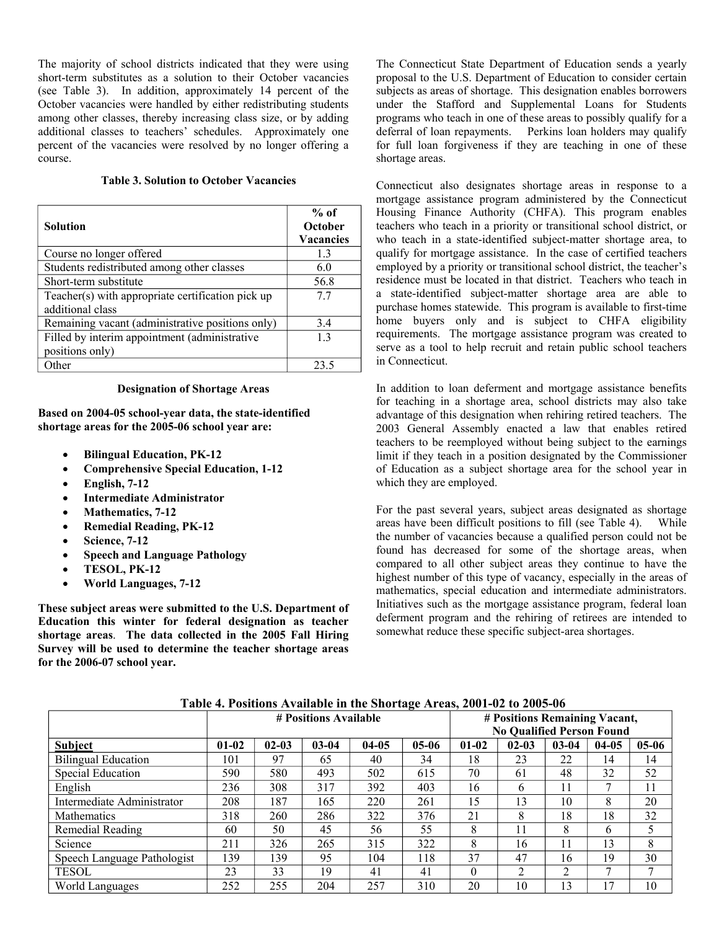The majority of school districts indicated that they were using short-term substitutes as a solution to their October vacancies (see Table 3). In addition, approximately 14 percent of the October vacancies were handled by either redistributing students among other classes, thereby increasing class size, or by adding additional classes to teachers' schedules. Approximately one percent of the vacancies were resolved by no longer offering a course.

### **Table 3. Solution to October Vacancies**

| <b>Solution</b>                                                       | $%$ of<br><b>October</b><br><b>Vacancies</b> |
|-----------------------------------------------------------------------|----------------------------------------------|
| Course no longer offered                                              | 13                                           |
| Students redistributed among other classes                            | 6.0                                          |
| Short-term substitute                                                 | 56.8                                         |
| Teacher(s) with appropriate certification pick up<br>additional class | 77                                           |
| Remaining vacant (administrative positions only)                      | 34                                           |
| Filled by interim appointment (administrative                         | 13                                           |
| positions only)                                                       |                                              |
| Other                                                                 | 23.5                                         |

#### **Designation of Shortage Areas**

**Based on 2004-05 school-year data, the state-identified shortage areas for the 2005-06 school year are:** 

- **Bilingual Education, PK-12**
- **Comprehensive Special Education, 1-12**
- **English, 7-12**
- **Intermediate Administrator**
- **Mathematics, 7-12**
- **Remedial Reading, PK-12**
- **Science, 7-12**
- **Speech and Language Pathology**
- **TESOL, PK-12**
- **World Languages, 7-12**

**These subject areas were submitted to the U.S. Department of Education this winter for federal designation as teacher shortage areas**. **The data collected in the 2005 Fall Hiring Survey will be used to determine the teacher shortage areas for the 2006-07 school year.** 

The Connecticut State Department of Education sends a yearly proposal to the U.S. Department of Education to consider certain subjects as areas of shortage. This designation enables borrowers under the Stafford and Supplemental Loans for Students programs who teach in one of these areas to possibly qualify for a deferral of loan repayments. Perkins loan holders may qualify Perkins loan holders may qualify. for full loan forgiveness if they are teaching in one of these shortage areas.

Connecticut also designates shortage areas in response to a mortgage assistance program administered by the Connecticut Housing Finance Authority (CHFA). This program enables teachers who teach in a priority or transitional school district, or who teach in a state-identified subject-matter shortage area, to qualify for mortgage assistance. In the case of certified teachers employed by a priority or transitional school district, the teacher's residence must be located in that district. Teachers who teach in a state-identified subject-matter shortage area are able to purchase homes statewide. This program is available to first-time home buyers only and is subject to CHFA eligibility requirements. The mortgage assistance program was created to serve as a tool to help recruit and retain public school teachers in Connecticut.

In addition to loan deferment and mortgage assistance benefits for teaching in a shortage area, school districts may also take advantage of this designation when rehiring retired teachers. The 2003 General Assembly enacted a law that enables retired teachers to be reemployed without being subject to the earnings limit if they teach in a position designated by the Commissioner of Education as a subject shortage area for the school year in which they are employed.

For the past several years, subject areas designated as shortage areas have been difficult positions to fill (see Table 4). While the number of vacancies because a qualified person could not be found has decreased for some of the shortage areas, when compared to all other subject areas they continue to have the highest number of this type of vacancy, especially in the areas of mathematics, special education and intermediate administrators. Initiatives such as the mortgage assistance program, federal loan deferment program and the rehiring of retirees are intended to somewhat reduce these specific subject-area shortages.

|                             |         | # Positions Available | # Positions Remaining Vacant, |         |                                  |           |                |           |         |         |
|-----------------------------|---------|-----------------------|-------------------------------|---------|----------------------------------|-----------|----------------|-----------|---------|---------|
|                             |         |                       |                               |         | <b>No Qualified Person Found</b> |           |                |           |         |         |
| <b>Subject</b>              | $01-02$ | $02 - 03$             | $03 - 04$                     | $04-05$ | $05-06$                          | $01 - 02$ | $02 - 03$      | $03 - 04$ | $04-05$ | $05-06$ |
| <b>Bilingual Education</b>  | 101     | 97                    | 65                            | 40      | 34                               | 18        | 23             | 22        | 14      | 14      |
| <b>Special Education</b>    | 590     | 580                   | 493                           | 502     | 615                              | 70        | 61             | 48        | 32      | 52      |
| English                     | 236     | 308                   | 317                           | 392     | 403                              | 16        | 6              | 11        | 7       | 11      |
| Intermediate Administrator  | 208     | 187                   | 165                           | 220     | 261                              | 15        | 13             | 10        | 8       | 20      |
| <b>Mathematics</b>          | 318     | 260                   | 286                           | 322     | 376                              | 21        | 8              | 18        | 18      | 32      |
| Remedial Reading            | 60      | 50                    | 45                            | 56      | 55                               | 8         |                | 8         | 6       | 5       |
| Science                     | 211     | 326                   | 265                           | 315     | 322                              | 8         | 16             | 11        | 13      | 8       |
| Speech Language Pathologist | 139     | 139                   | 95                            | 104     | 118                              | 37        | 47             | 16        | 19      | 30      |
| <b>TESOL</b>                | 23      | 33                    | 19                            | 41      | 41                               | $\theta$  | $\mathfrak{D}$ | 2         | 7       | ⇁       |
| World Languages             | 252     | 255                   | 204                           | 257     | 310                              | 20        | 10             | 13        | 17      | 10      |

**Table 4. Positions Available in the Shortage Areas, 2001-02 to 2005-06**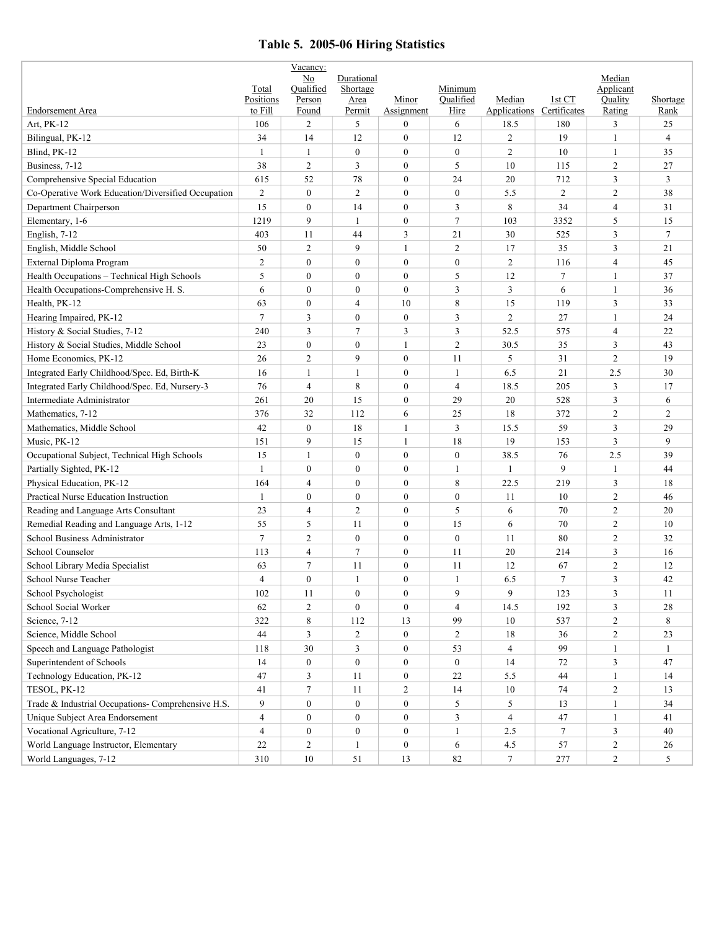# **Table 5. 2005-06 Hiring Statistics**

|                                                    |                    | Vacancy:         |                  |                  |                  |                           |                |                     |                |
|----------------------------------------------------|--------------------|------------------|------------------|------------------|------------------|---------------------------|----------------|---------------------|----------------|
|                                                    |                    | No<br>Oualified  | Durational       |                  | Minimum          |                           |                | Median<br>Applicant |                |
|                                                    | Total<br>Positions | Person           | Shortage<br>Area | Minor            | Oualified        | Median                    | 1st CT         | Quality             | Shortage       |
| <b>Endorsement Area</b>                            | to Fill            | Found            | Permit           | Assignment       | Hire             | Applications Certificates |                | Rating              | Rank           |
| Art, PK-12                                         | 106                | $\overline{c}$   | 5                | $\overline{0}$   | 6                | 18.5                      | 180            | 3                   | 25             |
| Bilingual, PK-12                                   | 34                 | 14               | 12               | $\overline{0}$   | 12               | $\overline{2}$            | 19             | 1                   | $\overline{4}$ |
| Blind, PK-12                                       | $\mathbf{1}$       | $\mathbf{1}$     | $\overline{0}$   | $\mathbf{0}$     | $\boldsymbol{0}$ | $\overline{2}$            | 10             | $\mathbf{1}$        | 35             |
| Business, 7-12                                     | 38                 | $\overline{c}$   | 3                | $\mathbf{0}$     | 5                | 10                        | 115            | 2                   | 27             |
| Comprehensive Special Education                    | 615                | 52               | 78               | $\mathbf{0}$     | 24               | 20                        | 712            | 3                   | 3              |
| Co-Operative Work Education/Diversified Occupation | $\overline{2}$     | $\mathbf{0}$     | $\overline{2}$   | $\mathbf{0}$     | $\boldsymbol{0}$ | 5.5                       | $\overline{2}$ | $\mathfrak{2}$      | 38             |
| Department Chairperson                             | 15                 | $\mathbf{0}$     | 14               | $\mathbf{0}$     | 3                | 8                         | 34             | $\overline{4}$      | 31             |
| Elementary, 1-6                                    | 1219               | 9                | $\mathbf{1}$     | $\mathbf{0}$     | 7                | 103                       | 3352           | 5                   | 15             |
| English, 7-12                                      | 403                | 11               | 44               | 3                | 21               | 30                        | 525            | 3                   | $\tau$         |
| English, Middle School                             | 50                 | $\overline{c}$   | 9                | 1                | $\overline{2}$   | 17                        | 35             | 3                   | 21             |
| External Diploma Program                           | $\overline{2}$     | $\mathbf{0}$     | $\mathbf{0}$     | $\mathbf{0}$     | $\boldsymbol{0}$ | $\overline{2}$            | 116            | $\overline{4}$      | 45             |
| Health Occupations - Technical High Schools        | 5                  | $\mathbf{0}$     | $\overline{0}$   | $\mathbf{0}$     | 5                | 12                        | $\tau$         | $\mathbf{1}$        | 37             |
| Health Occupations-Comprehensive H. S.             | 6                  | $\mathbf{0}$     | $\boldsymbol{0}$ | $\mathbf{0}$     | 3                | 3                         | 6              | $\mathbf{1}$        | 36             |
| Health, PK-12                                      | 63                 | $\boldsymbol{0}$ | $\overline{4}$   | 10               | 8                | 15                        | 119            | 3                   | 33             |
| Hearing Impaired, PK-12                            | $7\phantom{.0}$    | 3                | $\mathbf{0}$     | $\boldsymbol{0}$ | 3                | $\overline{c}$            | 27             | $\mathbf{1}$        | 24             |
| History & Social Studies, 7-12                     | 240                | 3                | 7                | 3                | 3                | 52.5                      | 575            | $\overline{4}$      | 22             |
| History & Social Studies, Middle School            | 23                 | $\mathbf{0}$     | $\overline{0}$   | 1                | $\overline{2}$   | 30.5                      | 35             | 3                   | 43             |
| Home Economics, PK-12                              | 26                 | $\overline{2}$   | 9                | $\overline{0}$   | 11               | 5                         | 31             | $\overline{c}$      | 19             |
| Integrated Early Childhood/Spec. Ed, Birth-K       | 16                 | 1                | $\mathbf{1}$     | $\mathbf{0}$     | 1                | 6.5                       | 21             | 2.5                 | 30             |
| Integrated Early Childhood/Spec. Ed, Nursery-3     | 76                 | $\overline{4}$   | 8                | $\mathbf{0}$     | $\overline{4}$   | 18.5                      | 205            | 3                   | 17             |
| Intermediate Administrator                         | 261                | 20               | 15               | $\mathbf{0}$     | 29               | 20                        | 528            | 3                   | 6              |
| Mathematics, 7-12                                  | 376                | 32               | 112              | 6                | 25               | 18                        | 372            | $\overline{2}$      | $\overline{c}$ |
| Mathematics, Middle School                         | 42                 | $\boldsymbol{0}$ | 18               | 1                | 3                | 15.5                      | 59             | 3                   | 29             |
| Music, PK-12                                       | 151                | 9                | 15               | 1                | 18               | 19                        | 153            | 3                   | 9              |
| Occupational Subject, Technical High Schools       | 15                 | $\mathbf{1}$     | $\overline{0}$   | $\overline{0}$   | $\boldsymbol{0}$ | 38.5                      | 76             | 2.5                 | 39             |
| Partially Sighted, PK-12                           | 1                  | $\mathbf{0}$     | $\mathbf{0}$     | $\mathbf{0}$     | 1                | $\mathbf{1}$              | 9              | $\mathbf{1}$        | 44             |
| Physical Education, PK-12                          | 164                | $\overline{4}$   | $\mathbf{0}$     | $\boldsymbol{0}$ | 8                | 22.5                      | 219            | 3                   | 18             |
| Practical Nurse Education Instruction              | 1                  | $\boldsymbol{0}$ | $\mathbf{0}$     | $\mathbf{0}$     | $\mathbf{0}$     | 11                        | 10             | $\overline{c}$      | 46             |
| Reading and Language Arts Consultant               | 23                 | $\overline{4}$   | $\overline{2}$   | $\mathbf{0}$     | 5                | 6                         | 70             | $\overline{c}$      | 20             |
| Remedial Reading and Language Arts, 1-12           | 55                 | 5                | 11               | $\mathbf{0}$     | 15               | 6                         | 70             | $\overline{c}$      | 10             |
| School Business Administrator                      | $\overline{7}$     | $\overline{c}$   | $\boldsymbol{0}$ | $\mathbf{0}$     | $\boldsymbol{0}$ | 11                        | 80             | $\overline{c}$      | 32             |
| School Counselor                                   | 113                | $\overline{4}$   | $\tau$           | $\mathbf{0}$     | 11               | 20                        | 214            | 3                   | 16             |
| School Library Media Specialist                    | 63                 | $\tau$           | 11               | $\mathbf{0}$     | 11               | 12                        | 67             | $\overline{c}$      | 12             |
| School Nurse Teacher                               | $\overline{4}$     | $\mathbf{0}$     | $\mathbf{1}$     | $\theta$         | $\mathbf{1}$     | 6.5                       | 7              | 3                   | 42             |
| School Psychologist                                | 102                | 11               | $\boldsymbol{0}$ | $\boldsymbol{0}$ | 9                | 9                         | 123            | 3                   | 11             |
| School Social Worker                               | 62                 | $\overline{c}$   | $\boldsymbol{0}$ | $\mathbf{0}$     | $\overline{4}$   | 14.5                      | 192            | $\mathfrak{Z}$      | 28             |
| Science, 7-12                                      | 322                | $\,8\,$          | 112              | 13               | 99               | 10                        | 537            | $\overline{c}$      | 8              |
| Science, Middle School                             | 44                 | 3                | $\overline{2}$   | $\mathbf{0}$     | 2                | 18                        | 36             | $\overline{2}$      | 23             |
| Speech and Language Pathologist                    | 118                | $30\,$           | $\overline{3}$   | $\boldsymbol{0}$ | 53               | $\overline{4}$            | 99             | $\mathbf{1}$        | $\mathbf{1}$   |
| Superintendent of Schools                          | 14                 | $\boldsymbol{0}$ | $\boldsymbol{0}$ | $\boldsymbol{0}$ | $\boldsymbol{0}$ | 14                        | 72             | $\mathfrak{Z}$      | 47             |
| Technology Education, PK-12                        | 47                 | $\overline{3}$   | 11               | $\boldsymbol{0}$ | $22\,$           | 5.5                       | 44             | $\mathbf{1}$        | 14             |
| TESOL, PK-12                                       | 41                 | $\tau$           | 11               | $\overline{c}$   | 14               | 10                        | 74             | $\overline{2}$      | 13             |
| Trade & Industrial Occupations- Comprehensive H.S. | 9                  | $\boldsymbol{0}$ | $\boldsymbol{0}$ | $\boldsymbol{0}$ | 5                | 5                         | 13             | $\mathbf{1}$        | 34             |
| Unique Subject Area Endorsement                    | $\overline{4}$     | $\boldsymbol{0}$ | $\boldsymbol{0}$ | $\boldsymbol{0}$ | 3                | $\overline{4}$            | 47             | $\mathbf{1}$        | 41             |
| Vocational Agriculture, 7-12                       | $\overline{4}$     | $\boldsymbol{0}$ | $\boldsymbol{0}$ | $\boldsymbol{0}$ | $\mathbf{1}$     | 2.5                       | $\tau$         | $\mathfrak{Z}$      | 40             |
| World Language Instructor, Elementary              | 22                 | $\overline{c}$   | $\mathbf{1}$     | $\boldsymbol{0}$ | 6                | 4.5                       | 57             | $\sqrt{2}$          | 26             |
| World Languages, 7-12                              | 310                | $10\,$           | 51               | 13               | 82               | $\tau$                    | 277            | $\overline{2}$      | 5              |
|                                                    |                    |                  |                  |                  |                  |                           |                |                     |                |